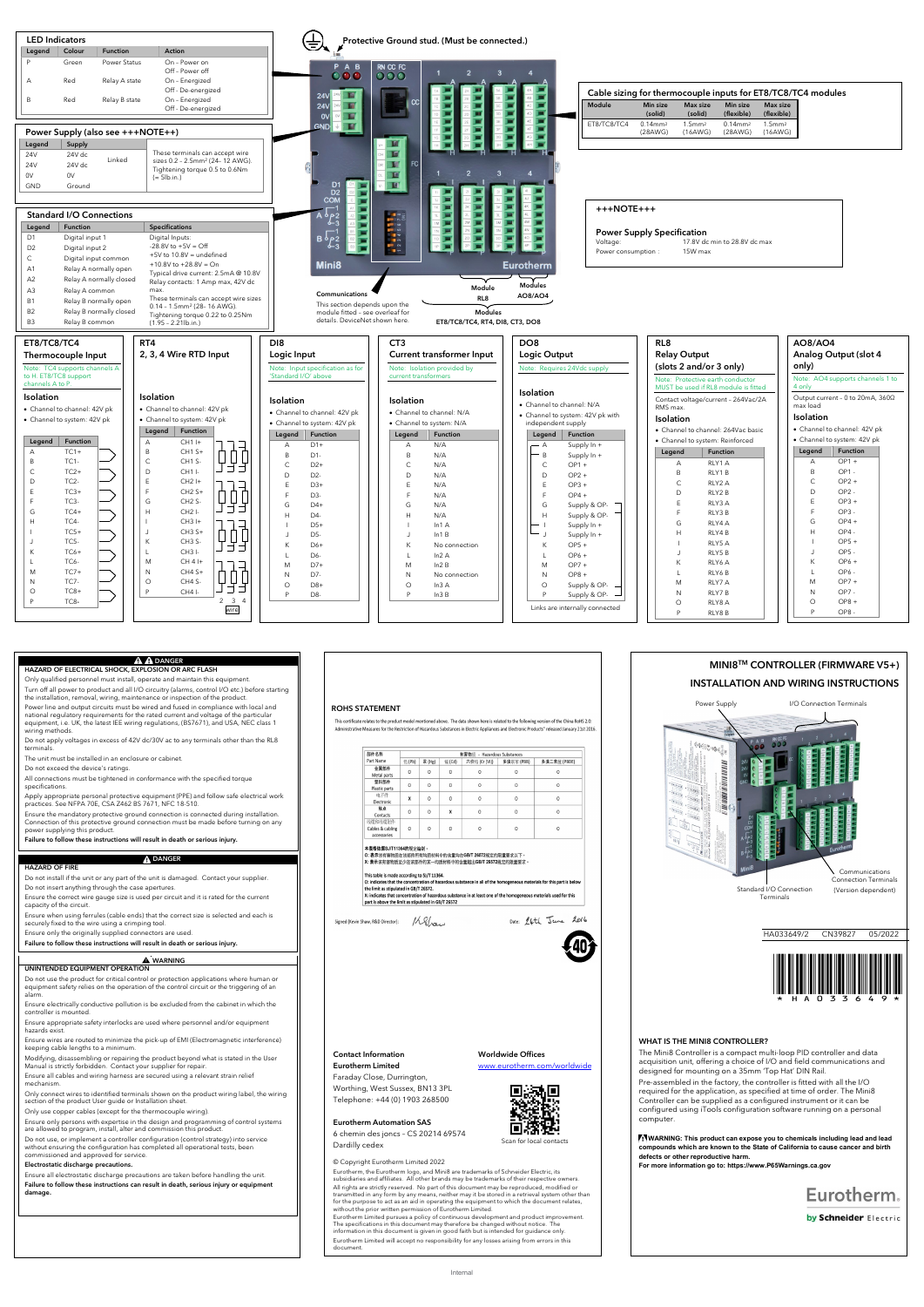#### **A A DANGER** HAZARD OF ELECTRICAL SHOCK, EXPLOSION OR ARC FLASH

Only qualified personnel must install, operate and maintain this equipment. Turn off all power to product and all I/O circuitry (alarms, control I/O etc.) before starting

the installation, removal, wiring, maintenance or inspection of the produ Power line and output circuits must be wired and fused in compliance with local and national regulatory requirements for the rated current and voltage of the particular equipment, i.e. UK, the latest IEE wiring regulations, (BS7671), and USA, NEC class 1

wiring methods. Do not apply voltages in excess of 42V dc/30V ac to any terminals other than the RL8 terminals.

The unit must be installed in an enclosure or cabinet.

Do not exceed the device's ratings.

All connections must be tightened in conformance with the specified torque specifications.

Apply appropriate personal protective equipment (PPE) and follow safe electrical work practices. See NFPA 70E, CSA Z462 BS 7671, NFC 18-510.

Ensure electrically conductive pollution is be excluded from the cabinet in which the controller is moun

Ensure the mandatory protective ground connection is connected during installation. Connection of this protective ground connection must be made before turning on any power supplying this product.

Failure to follow these instructions will result in death or serious injury.

## **A** DANGER

### HAZARD OF FIRE

Do not install if the unit or any part of the unit is damaged. Contact your supplier.

Do not insert anything through the case apertures. Ensure the correct wire gauge size is used per circuit and it is rated for the current

capacity of the circuit. Ensure when using ferrules (cable ends) that the correct size is selected and each is

securely fixed to the wire using a crimping tool. Ensure only the originally supplied connectors are used.

Failure to follow these instructions will result in death or serious injury.

#### **!** WARNING UNINTENDED EQUIPMENT OPERATION

Do not use the product for critical control or protection applications where human or

.<br>This certificate relates to the product model mentioned above. The data shown here is related to the following version of the China RoHS 2.0: Administrative Measures for the Restriction of Hazardous Substances in Electric Appliances and Electronic Products" released January 21st 2016

|                                                                                                               | 有害物质 - Hazardous Substances |          |                                                     |                                                                                                   |           |                                                                                                                                                                                                                                            |  |
|---------------------------------------------------------------------------------------------------------------|-----------------------------|----------|-----------------------------------------------------|---------------------------------------------------------------------------------------------------|-----------|--------------------------------------------------------------------------------------------------------------------------------------------------------------------------------------------------------------------------------------------|--|
| Part Name                                                                                                     | 铅(Pb)                       | 汞 (Hg)   | <b>镉(Cd)</b>                                        | 六价铬 (Cr (VI))                                                                                     | 多溴联苯(PBB) | 多溴二苯醚 (PBDE)                                                                                                                                                                                                                               |  |
| 金属部件<br>Metal parts                                                                                           | $\Omega$                    | $\Omega$ | $\Omega$                                            | $\circ$                                                                                           | $\Omega$  | $\Omega$                                                                                                                                                                                                                                   |  |
| 塑料部件<br>Plastic parts                                                                                         | 0                           | 0        | 0                                                   | $\circ$                                                                                           | 0         | 0                                                                                                                                                                                                                                          |  |
| 电子件<br>Flectronic                                                                                             | X                           | O        | $\Omega$                                            | $\Omega$                                                                                          | $\Omega$  | O                                                                                                                                                                                                                                          |  |
| 触点<br>Contacts                                                                                                | $\Omega$                    | $\Omega$ | x                                                   | $\Omega$                                                                                          | $\Omega$  | $\Omega$                                                                                                                                                                                                                                   |  |
| 线缆和线缆附件<br>Cables & cabling<br>accessories                                                                    | $\Omega$                    | 0        | $\Omega$                                            | $\Omega$                                                                                          | $\Omega$  | 0                                                                                                                                                                                                                                          |  |
| 本表格依据SJ/T11364的规定编制。<br>This table is made according to SJ/T 11364.<br>the limit as stipulated in GB/T 26572. |                             |          | part is above the limit as stipulated in GB/T 26572 | O: 表示该有害物质在该部件所有均质材料中的含量均在GB/T 26572规定的限量要求以下。<br>X: 表示该有害物质至少在该部件的某一均质材料中的含量超出GB/T 26572规定的限量要求。 |           | O: indicates that the concentration of hazardous substance in all of the homogeneous materials for this part is below<br>X: indicates that concentration of hazardous substance in at least one of the homogeneous materials used for this |  |
|                                                                                                               |                             |          |                                                     |                                                                                                   |           |                                                                                                                                                                                                                                            |  |

#### Klau Signed (Kevin Shaw, R&D Director):

equipment safety relies on the operation of the control circuit or the triggering of an alarm.

Ensure appropriate safety interlocks are used where personnel and/or equipment hazards exist.

Ensure wires are routed to minimize the pick-up of EMI (Electromagnetic interference) keeping cable lengths to a minimum.

Modifying, disassembling or repairing the product beyond what is stated in the User Manual is strictly forbidden. Contact your supplier for repair.

Ensure all cables and wiring harness are secured using a relevant strain relief mechanism.

Only connect wires to identified terminals shown on the product wiring label, the wiring section of the product User guide or Installation sheet.

Only use copper cables (except for the thermocouple wiring).

Ensure only persons with expertise in the design and programming of control systems are allowed to program, install, alter and commission this product.

Do not use, or implement a controller configuration (control strategy) into service without ensuring the configuration has completed all operational tests, been commissioned and approved for service.

### Electrostatic discharge precautions.

Ensure all electrostatic discharge precautions are taken before handling the unit. Failure to follow these instructions can result in death, serious injury or equipment damage.

WHAT IS THE MINI8 CONTROLLER?

The Mini8 Controller is a compact multi-loop PID controller and data acquisition unit, offering a choice of I/O and field communications and designed for mounting on a 35mm 'Top Hat' DIN Rail.



Pre-assembled in the factory, the controller is fitted with all the I/O required for the application, as specified at time of order. The Mini8 Controller can be supplied as a configured instrument or it can be configured using iTools configuration software running on a personal computer.

**WARNING: This product can expose you to chemicals including lead and lead compounds which are known to the State of California to cause cancer and birth defects or other reproductive harm. For more information go to: https://www.P65Warnings.ca.gov**

Eurotherm.

by Schneider Electric





### Contact Information Eurotherm Limited Faraday Close, Durrington,

Worthing, West Sussex, BN13 3PL Telephone: +44 (0) 1903 268500

Eurotherm Automation SAS 6 chemin des joncs – CS 20214 69574 Dardilly cedex

### Worldwide Offices

mworldwide



Scan for local contacts

### © Copyright Eurotherm Limited 2022

Eurotherm, the Eurotherm logo, and Mini8 are trademarks of Schneider Electric, its subsidiaries and affiliates. All other brands may be trademarks of their respective owners. All rights are strictly reserved. No part of this document may be reproduced, modified or<br>transmitted in any form by any means, neither may it be stored in a retrieval system other than<br>for the purpose to act as an aid in without the prior written permission of Eurotherm Limited.

Eurotherm Limited pursues a policy of continuous development and product improvement.<br>The specifications in this document may therefore be changed without notice. The<br>information in this document is given in good faith but

Eurotherm Limited will accept no responsibility for any losses arising from errors in this document.